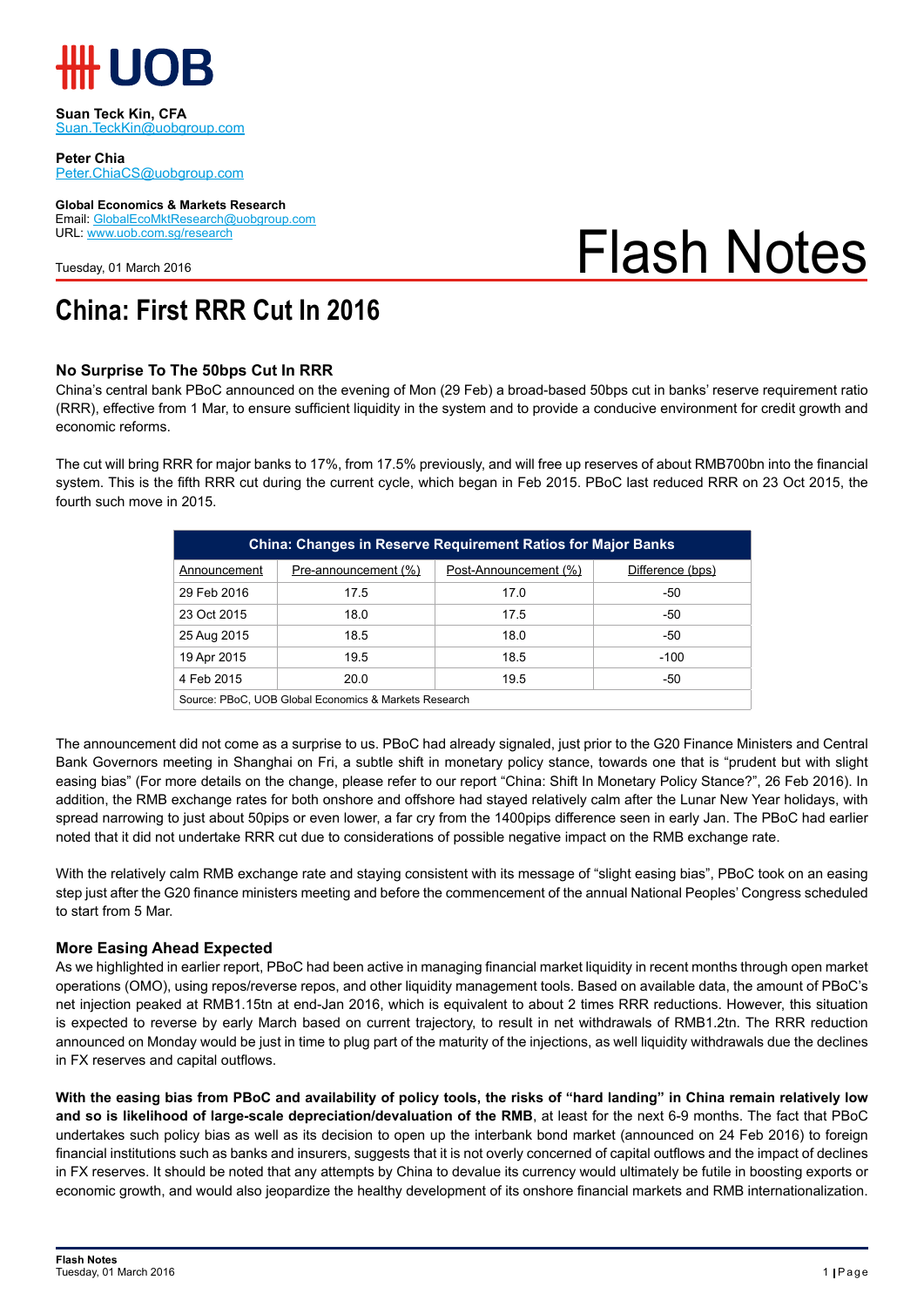

**Suan Teck Kin, CFA** Suan.TeckKin@uobgroup.com

**Peter Chia** Peter.ChiaCS@uobgroup.com

**Global Economics & Markets Research** Email: GlobalEcoMktResearch@uobgroup.com URL: www.uob.com.sg/research

Tuesday, 01 March 2016

# Flash Notes

## **China: First RRR Cut In 2016**

## **No Surprise To The 50bps Cut In RRR**

China's central bank PBoC announced on the evening of Mon (29 Feb) a broad-based 50bps cut in banks' reserve requirement ratio (RRR), effective from 1 Mar, to ensure sufficient liquidity in the system and to provide a conducive environment for credit growth and economic reforms.

The cut will bring RRR for major banks to 17%, from 17.5% previously, and will free up reserves of about RMB700bn into the financial system. This is the fifth RRR cut during the current cycle, which began in Feb 2015. PBoC last reduced RRR on 23 Oct 2015, the fourth such move in 2015.

| <b>China: Changes in Reserve Requirement Ratios for Major Banks</b> |                      |                       |                  |  |  |  |  |
|---------------------------------------------------------------------|----------------------|-----------------------|------------------|--|--|--|--|
| Announcement                                                        | Pre-announcement (%) | Post-Announcement (%) | Difference (bps) |  |  |  |  |
| 29 Feb 2016                                                         | 17.5                 | 17.0                  | -50              |  |  |  |  |
| 23 Oct 2015                                                         | 18.0                 | 17.5                  | $-50$            |  |  |  |  |
| 25 Aug 2015                                                         | 18.5                 | 18.0                  | $-50$            |  |  |  |  |
| 19 Apr 2015                                                         | 19.5                 | 18.5                  | $-100$           |  |  |  |  |
| 4 Feb 2015                                                          | 20.0                 | 19.5                  | -50              |  |  |  |  |
| Source: PBoC, UOB Global Economics & Markets Research               |                      |                       |                  |  |  |  |  |

The announcement did not come as a surprise to us. PBoC had already signaled, just prior to the G20 Finance Ministers and Central Bank Governors meeting in Shanghai on Fri, a subtle shift in monetary policy stance, towards one that is "prudent but with slight easing bias" (For more details on the change, please refer to our report "China: Shift In Monetary Policy Stance?", 26 Feb 2016). In addition, the RMB exchange rates for both onshore and offshore had stayed relatively calm after the Lunar New Year holidays, with spread narrowing to just about 50pips or even lower, a far cry from the 1400pips difference seen in early Jan. The PBoC had earlier noted that it did not undertake RRR cut due to considerations of possible negative impact on the RMB exchange rate.

With the relatively calm RMB exchange rate and staying consistent with its message of "slight easing bias", PBoC took on an easing step just after the G20 finance ministers meeting and before the commencement of the annual National Peoples' Congress scheduled to start from 5 Mar.

## **More Easing Ahead Expected**

As we highlighted in earlier report, PBoC had been active in managing financial market liquidity in recent months through open market operations (OMO), using repos/reverse repos, and other liquidity management tools. Based on available data, the amount of PBoC's net injection peaked at RMB1.15tn at end-Jan 2016, which is equivalent to about 2 times RRR reductions. However, this situation is expected to reverse by early March based on current trajectory, to result in net withdrawals of RMB1.2tn. The RRR reduction announced on Monday would be just in time to plug part of the maturity of the injections, as well liquidity withdrawals due the declines in FX reserves and capital outflows.

**With the easing bias from PBoC and availability of policy tools, the risks of "hard landing" in China remain relatively low and so is likelihood of large-scale depreciation/devaluation of the RMB**, at least for the next 6-9 months. The fact that PBoC undertakes such policy bias as well as its decision to open up the interbank bond market (announced on 24 Feb 2016) to foreign financial institutions such as banks and insurers, suggests that it is not overly concerned of capital outflows and the impact of declines in FX reserves. It should be noted that any attempts by China to devalue its currency would ultimately be futile in boosting exports or economic growth, and would also jeopardize the healthy development of its onshore financial markets and RMB internationalization.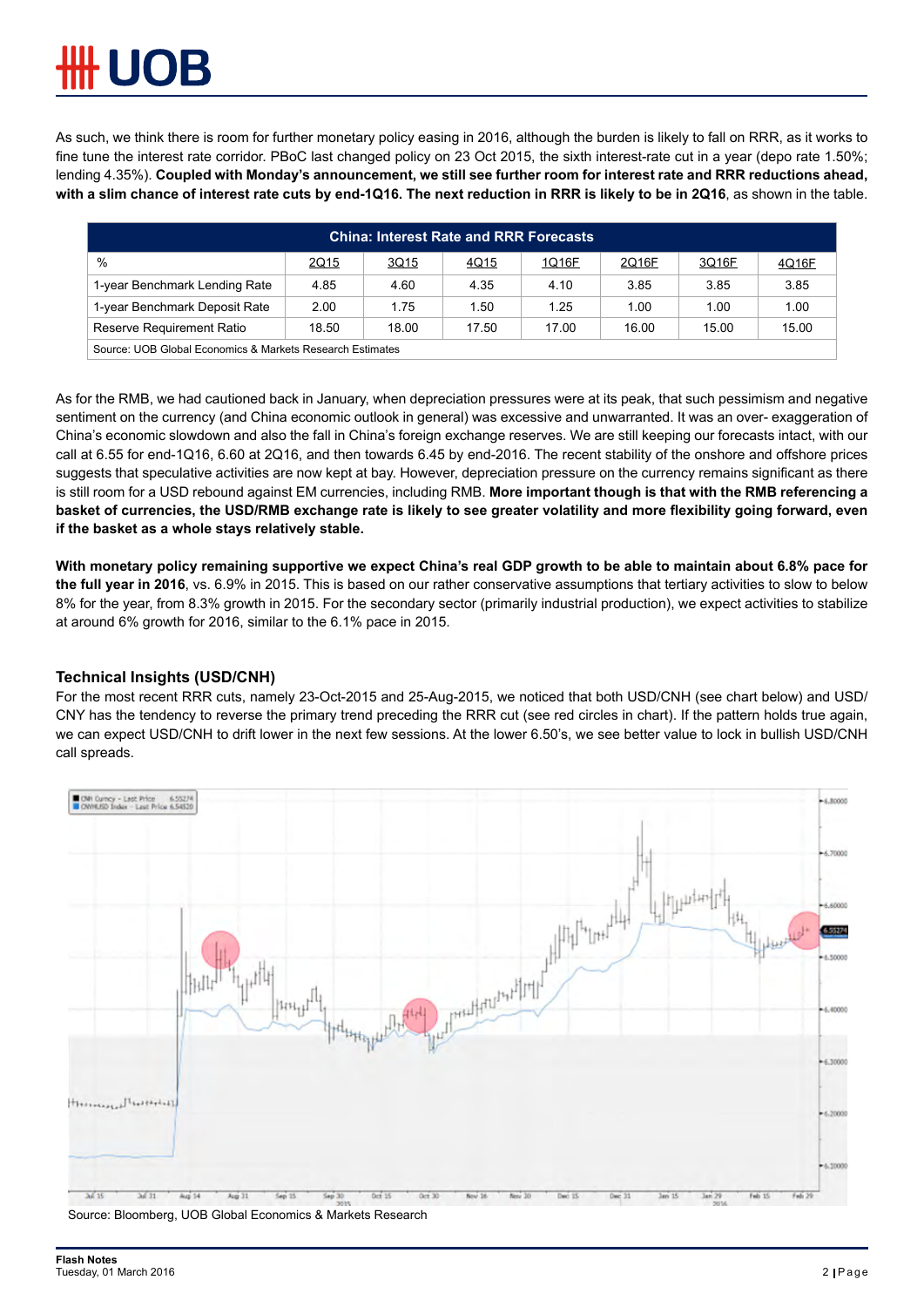As such, we think there is room for further monetary policy easing in 2016, although the burden is likely to fall on RRR, as it works to fine tune the interest rate corridor. PBoC last changed policy on 23 Oct 2015, the sixth interest-rate cut in a year (depo rate 1.50%; lending 4.35%). **Coupled with Monday's announcement, we still see further room for interest rate and RRR reductions ahead, with a slim chance of interest rate cuts by end-1Q16. The next reduction in RRR is likely to be in 2Q16**, as shown in the table.

| <b>China: Interest Rate and RRR Forecasts</b>             |       |       |       |       |       |       |       |  |  |  |
|-----------------------------------------------------------|-------|-------|-------|-------|-------|-------|-------|--|--|--|
| $\%$                                                      | 2Q15  | 3Q15  | 4Q15  | 1Q16F | 2Q16F | 3Q16F | 4Q16F |  |  |  |
| 1-year Benchmark Lending Rate                             | 4.85  | 4.60  | 4.35  | 4.10  | 3.85  | 3.85  | 3.85  |  |  |  |
| 1-year Benchmark Deposit Rate                             | 2.00  | 1.75  | 1.50  | 1.25  | 1.00  | 1.00  | 1.00  |  |  |  |
| Reserve Requirement Ratio                                 | 18.50 | 18.00 | 17.50 | 17.00 | 16.00 | 15.00 | 15.00 |  |  |  |
| Source: UOB Global Economics & Markets Research Estimates |       |       |       |       |       |       |       |  |  |  |

As for the RMB, we had cautioned back in January, when depreciation pressures were at its peak, that such pessimism and negative sentiment on the currency (and China economic outlook in general) was excessive and unwarranted. It was an over- exaggeration of China's economic slowdown and also the fall in China's foreign exchange reserves. We are still keeping our forecasts intact, with our call at 6.55 for end-1Q16, 6.60 at 2Q16, and then towards 6.45 by end-2016. The recent stability of the onshore and offshore prices suggests that speculative activities are now kept at bay. However, depreciation pressure on the currency remains significant as there is still room for a USD rebound against EM currencies, including RMB. **More important though is that with the RMB referencing a basket of currencies, the USD/RMB exchange rate is likely to see greater volatility and more flexibility going forward, even if the basket as a whole stays relatively stable.** 

**With monetary policy remaining supportive we expect China's real GDP growth to be able to maintain about 6.8% pace for the full year in 2016**, vs. 6.9% in 2015. This is based on our rather conservative assumptions that tertiary activities to slow to below 8% for the year, from 8.3% growth in 2015. For the secondary sector (primarily industrial production), we expect activities to stabilize at around 6% growth for 2016, similar to the 6.1% pace in 2015.

## **Technical Insights (USD/CNH)**

For the most recent RRR cuts, namely 23-Oct-2015 and 25-Aug-2015, we noticed that both USD/CNH (see chart below) and USD/ CNY has the tendency to reverse the primary trend preceding the RRR cut (see red circles in chart). If the pattern holds true again, we can expect USD/CNH to drift lower in the next few sessions. At the lower 6.50's, we see better value to lock in bullish USD/CNH call spreads.



Source: Bloomberg, UOB Global Economics & Markets Research